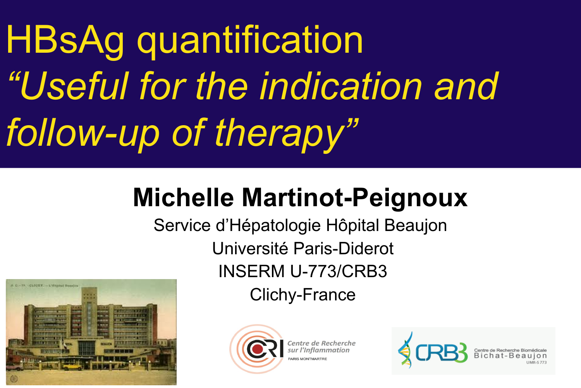HBsAg quantification *"Useful for the indication and follow-up of therapy"*

### **Michelle Martinot-Peignoux**

Service d'Hépatologie Hôpital Beaujon Université Paris-Diderot INSERM U-773/CRB3 Clichy-France





Centre de Recherche ARIS MONTMART

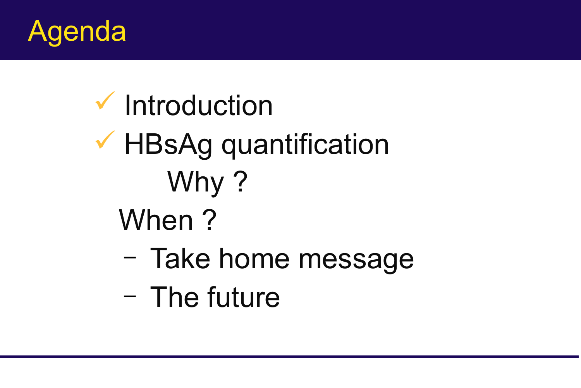

# $\checkmark$  Introduction **★ HBsAg quantification** Why? When ?

- Take home message
- The future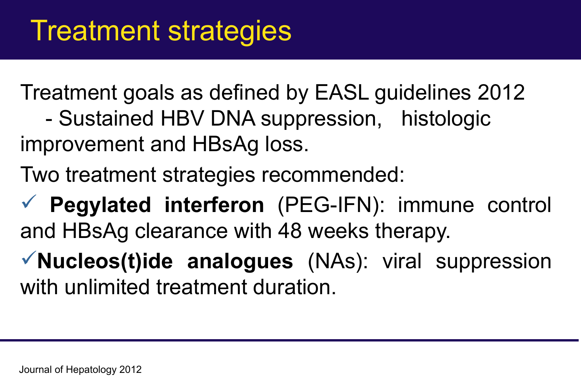Treatment goals as defined by EASL guidelines 2012 - Sustained HBV DNA suppression, histologic improvement and HBsAg loss.

Two treatment strategies recommended:

 **Pegylated interferon** (PEG-IFN): immune control and HBsAg clearance with 48 weeks therapy.

**Nucleos(t)ide analogues** (NAs): viral suppression with unlimited treatment duration.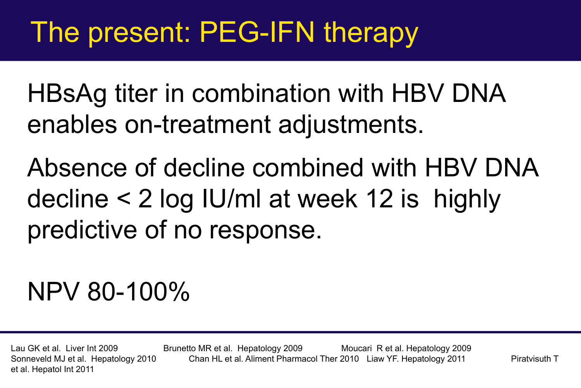## The present: PEG-IFN therapy

HBsAg titer in combination with HBV DNA enables on-treatment adjustments.

Absence of decline combined with HBV DNA decline < 2 log IU/ml at week 12 is highly predictive of no response.

### NPV 80-100%

et al. Hepatol Int 2011

Lau GK et al. Liver Int 2009 Brunetto MR et al., Hepatology 2009 Moucari R et al. Hepatology 2009 Sonneveld MJ et al. Hepatology 2010 Chan HL et al. Aliment Pharmacol Ther 2010 Liaw YF. Hepatology 2011 Piratvisuth T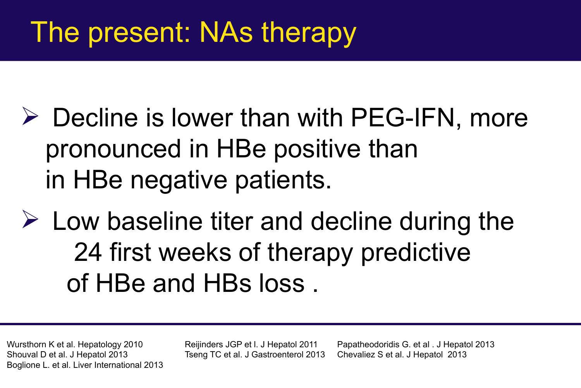## The present: NAs therapy

- $\triangleright$  Decline is lower than with PEG-IFN, more pronounced in HBe positive than in HBe negative patients.
- $\triangleright$  Low baseline titer and decline during the 24 first weeks of therapy predictive of HBe and HBs loss .

Boglione L. et al. Liver International 2013

Wursthorn K et al. Hepatology 2010 Reijinders JGP et l. J Hepatol 2011 Papatheodoridis G. et al . J Hepatol 2013 Shouval D et al. J Hepatol 2013 Tseng TC et al. J Gastroenterol 2013 Chevaliez S et al. J Hepatol 2013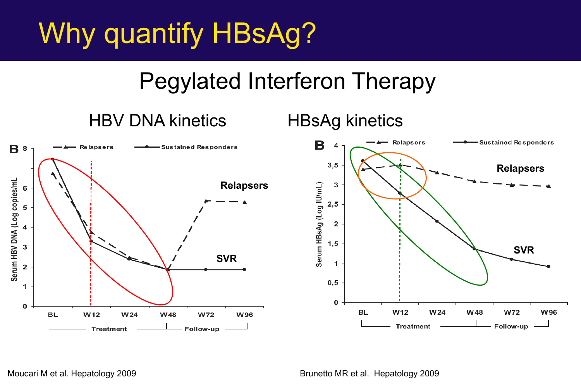## Why quantify HBsAg?

### Pegylated Interferon Therapy

#### HBV DNA kinetics HBsAg kinetics



Moucari M et al. Hepatology 2009 Moucari M et al. Hepatology 2009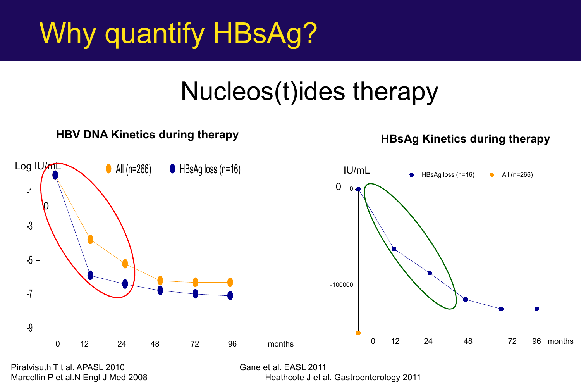## Why quantify HBsAg?

### Nucleos(t)ides therapy



Piratvisuth T t al. APASL 2010 Gane et al. EASL 2011

Marcellin P et al.N Engl J Med 2008 Heathcote J et al. Gastroenterology 2011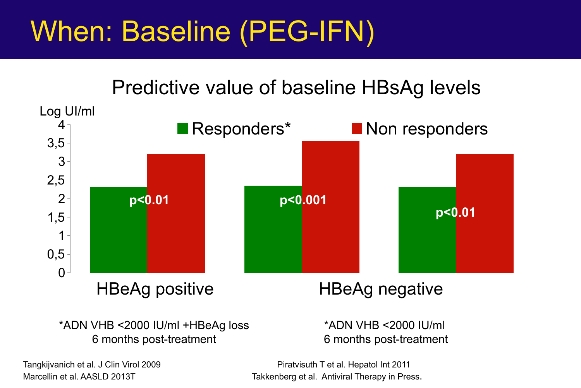## When: Baseline (PEG-IFN)

#### Predictive value of baseline HBsAg levels



\*ADN VHB <2000 IU/ml +HBeAg loss 6 months post-treatment

\*ADN VHB <2000 IU/ml 6 months post-treatment

Tangkijvanich et al. J Clin Virol 2009 **Piratvisuth T et al. Hepatol Int 2011** Marcellin et al. AASLD 2013T Marcellin et al. Antiviral Therapy in Press.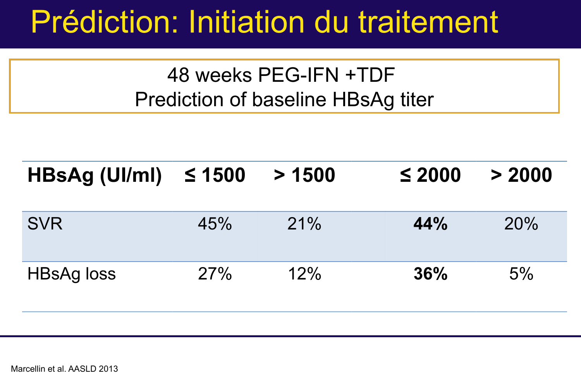## Prédiction: Initiation du traitement

48 weeks PEG-IFN +TDF Prediction of baseline HBsAg titer

| $HBSAg$ (UI/mI) $\leq 1500$ |     | > 1500 | $\leq 2000$ | > 2000 |
|-----------------------------|-----|--------|-------------|--------|
| <b>SVR</b>                  | 45% | 21%    | 44%         | 20%    |
| <b>HBsAg loss</b>           | 27% | 12%    | 36%         | 5%     |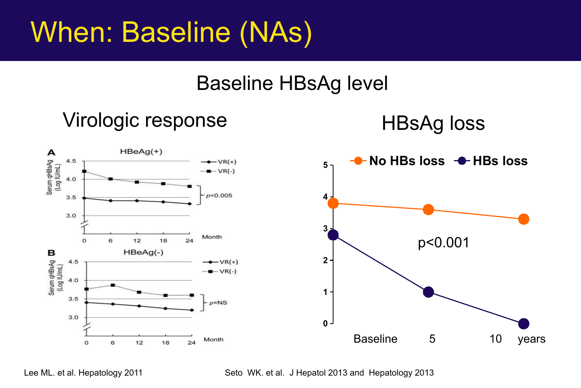## When: Baseline (NAs)

### Baseline HBsAg level

### Virologic response HBsAg loss

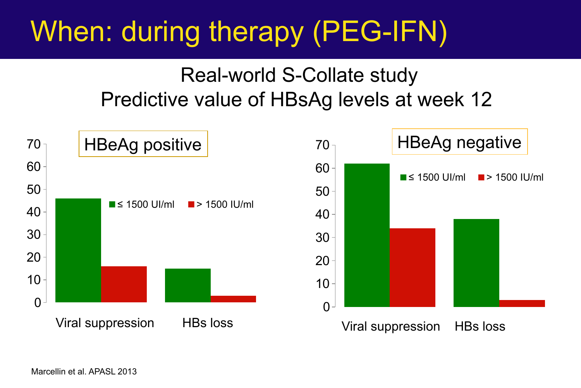## When: during therapy (PEG-IFN)

### Real-world S-Collate study Predictive value of HBsAg levels at week 12



Marcellin et al. APASL 2013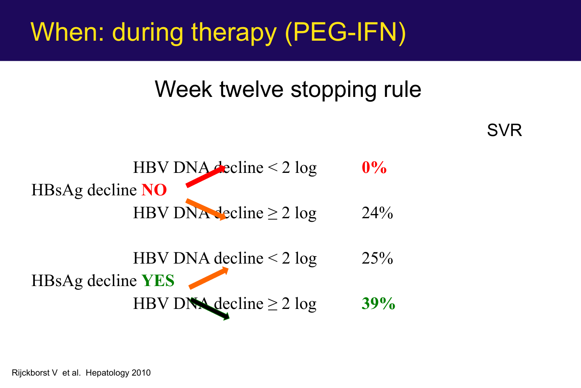### When: during therapy (PEG-IFN)

### Week twelve stopping rule

SVR



HBV DNA decline  $\leq$  2 log 25% HBsAg decline **YES** HBV DNA decline  $\geq 2 \log$  **39%** 

Rijckborst V et al. Hepatology 2010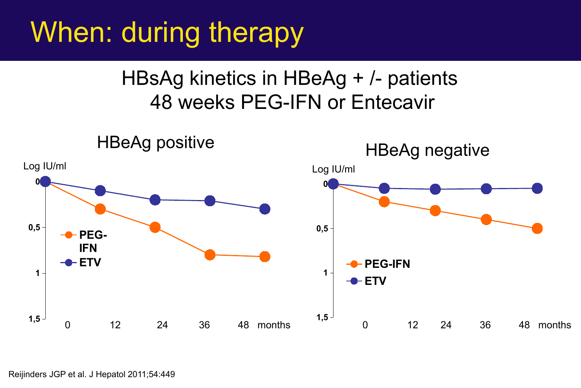## When: during therapy

### HBsAg kinetics in HBeAg + /- patients 48 weeks PEG-IFN or Entecavir



Reijinders JGP et al. J Hepatol 2011;54:449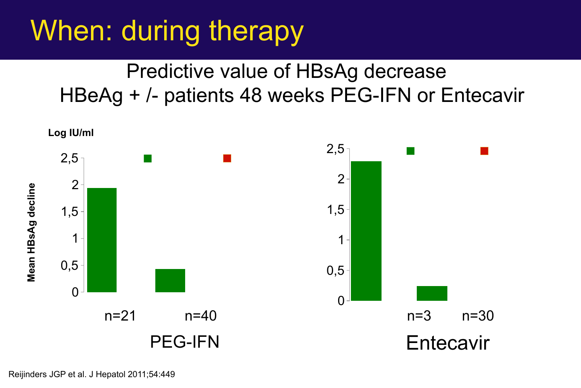## When: during therapy

### Predictive value of HBsAg decrease HBeAg + /- patients 48 weeks PEG-IFN or Entecavir

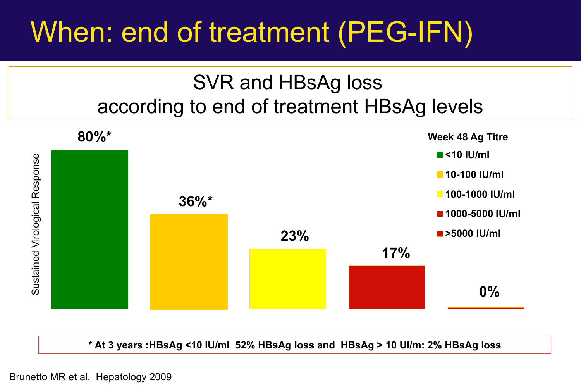## When: end of treatment (PEG-IFN)

### SVR and HBsAg loss according to end of treatment HBsAg levels



**\* At 3 years :HBsAg <10 IU/ml 52% HBsAg loss and HBsAg > 10 UI/m: 2% HBsAg loss**

Brunetto MR et al. Hepatology 2009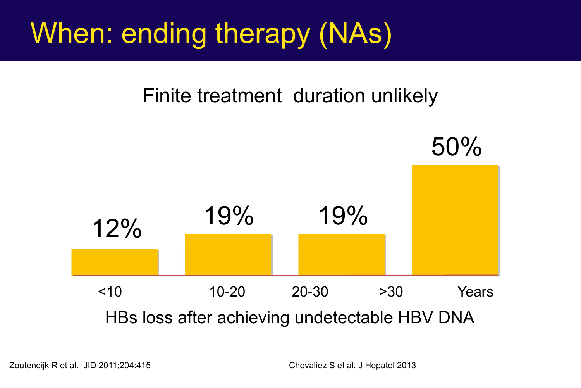## When: ending therapy (NAs)

#### Finite treatment duration unlikely



Zoutendijk R et al. JID 2011;204:415 Chevaliez S et al. J Hepatol 2013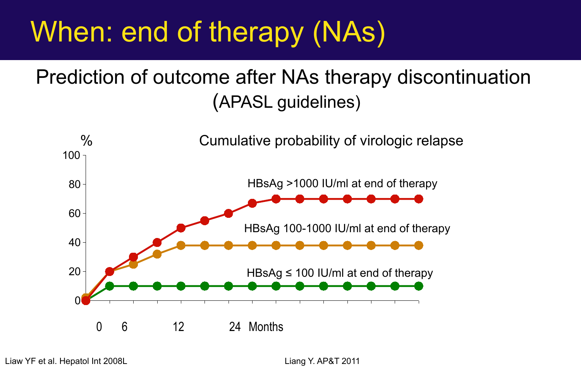## When: end of therapy (NAs)

### Prediction of outcome after NAs therapy discontinuation (APASL guidelines)



Liaw YF et al. Hepatol Int 2008L Liam Number 2011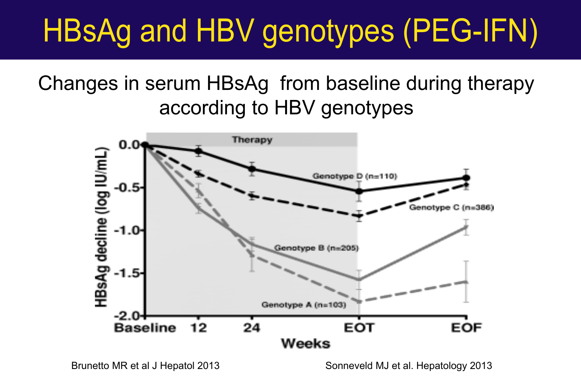# HBsAg and HBV genotypes (PEG-IFN)

Changes in serum HBsAg from baseline during therapy according to HBV genotypes

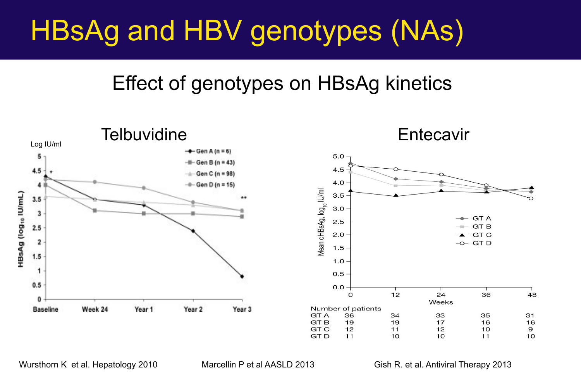## HBsAg and HBV genotypes (NAs)

#### Effect of genotypes on HBsAg kinetics



Wursthorn K et al. Hepatology 2010 Marcellin P et al AASLD 2013 Gish R. et al. Antiviral Therapy 2013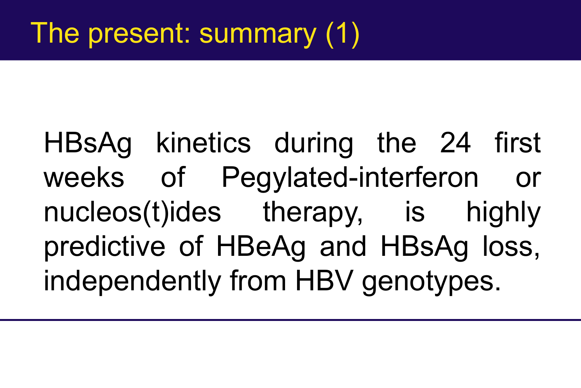HBsAg kinetics during the 24 first weeks of Pegylated-interferon or nucleos(t)ides therapy, is highly predictive of HBeAg and HBsAg loss, independently from HBV genotypes.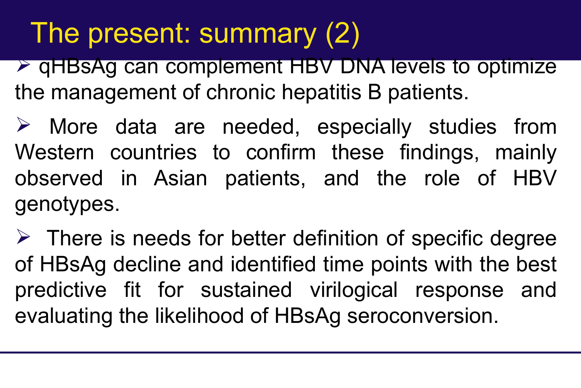## The present: summary (2)

**→ qHBsAg can complement HBV DNA levels to optimize** the management of chronic hepatitis B patients.

 $\triangleright$  More data are needed, especially studies from Western countries to confirm these findings, mainly observed in Asian patients, and the role of HBV genotypes.

 $\triangleright$  There is needs for better definition of specific degree of HBsAg decline and identified time points with the best predictive fit for sustained virilogical response and evaluating the likelihood of HBsAg seroconversion.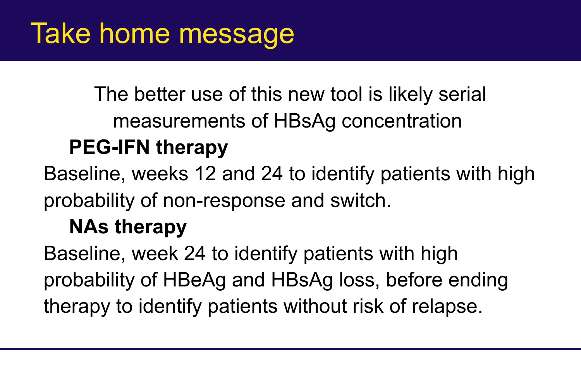The better use of this new tool is likely serial measurements of HBsAg concentration

### **PEG-IFN therapy**

Baseline, weeks 12 and 24 to identify patients with high probability of non-response and switch.

### **NAs therapy**

Baseline, week 24 to identify patients with high probability of HBeAg and HBsAg loss, before ending therapy to identify patients without risk of relapse.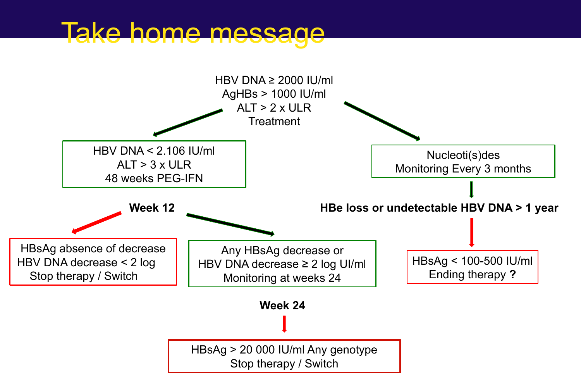### Take home message

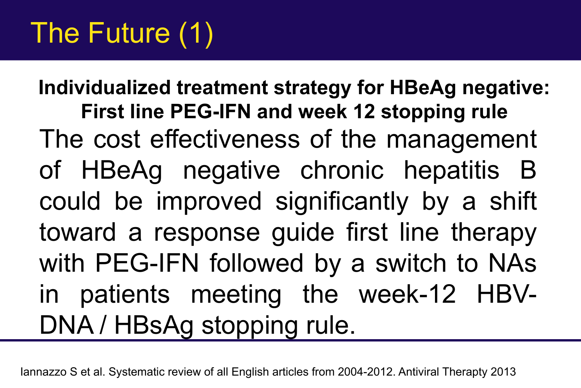## The Future (1)

The cost effectiveness of the management of HBeAg negative chronic hepatitis B could be improved significantly by a shift toward a response guide first line therapy with PEG-IFN followed by a switch to NAs in patients meeting the week-12 HBV-DNA / HBsAg stopping rule. **Individualized treatment strategy for HBeAg negative: First line PEG-IFN and week 12 stopping rule**